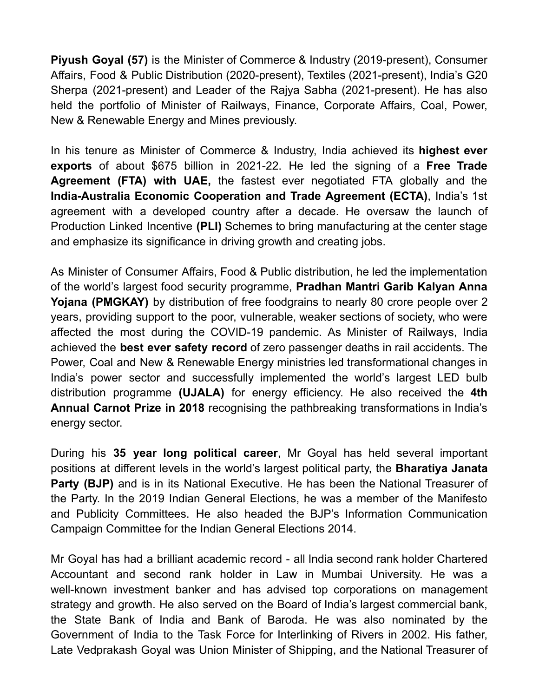**Piyush Goyal (57)** is the Minister of Commerce & Industry (2019-present), Consumer Affairs, Food & Public Distribution (2020-present), Textiles (2021-present), India's G20 Sherpa (2021-present) and Leader of the Rajya Sabha (2021-present). He has also held the portfolio of Minister of Railways, Finance, Corporate Affairs, Coal, Power, New & Renewable Energy and Mines previously.

In his tenure as Minister of Commerce & Industry, India achieved its **highest ever exports** of about \$675 billion in 2021-22. He led the signing of a **Free Trade Agreement (FTA) with UAE,** the fastest ever negotiated FTA globally and the **India-Australia Economic Cooperation and Trade Agreement (ECTA)**, India's 1st agreement with a developed country after a decade. He oversaw the launch of Production Linked Incentive **(PLI)** Schemes to bring manufacturing at the center stage and emphasize its significance in driving growth and creating jobs.

As Minister of Consumer Affairs, Food & Public distribution, he led the implementation of the world's largest food security programme, **Pradhan Mantri Garib Kalyan Anna Yojana (PMGKAY)** by distribution of free foodgrains to nearly 80 crore people over 2 years, providing support to the poor, vulnerable, weaker sections of society, who were affected the most during the COVID-19 pandemic. As Minister of Railways, India achieved the **best ever safety record** of zero passenger deaths in rail accidents. The Power, Coal and New & Renewable Energy ministries led transformational changes in India's power sector and successfully implemented the world's largest LED bulb distribution programme **(UJALA)** for energy efficiency. He also received the **4th Annual Carnot Prize in 2018** recognising the pathbreaking transformations in India's energy sector.

During his **35 year long political career**, Mr Goyal has held several important positions at different levels in the world's largest political party, the **Bharatiya Janata Party (BJP)** and is in its National Executive. He has been the National Treasurer of the Party. In the 2019 Indian General Elections, he was a member of the Manifesto and Publicity Committees. He also headed the BJP's Information Communication Campaign Committee for the Indian General Elections 2014.

Mr Goyal has had a brilliant academic record - all India second rank holder Chartered Accountant and second rank holder in Law in Mumbai University. He was a well-known investment banker and has advised top corporations on management strategy and growth. He also served on the Board of India's largest commercial bank, the State Bank of India and Bank of Baroda. He was also nominated by the Government of India to the Task Force for Interlinking of Rivers in 2002. His father, Late Vedprakash Goyal was Union Minister of Shipping, and the National Treasurer of